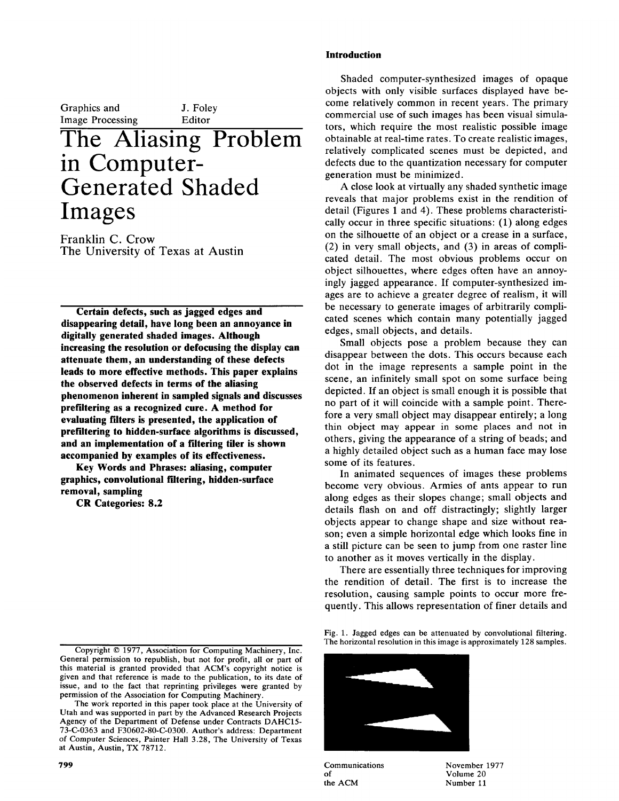Graphics and **I.** Foley Image Processing Editor **ine Aliasing** in Computer-**Generated Shaded** 

Franklin C. Crow The University of Texas at Austin

Images

**Certain defects, such as jagged edges and** disappearing detail, have long been an annoyance in **digitally generated shaded images. Although** increasing the resolution or defocusing the display can attenuate them, an understanding of these defects **leads to more effective methods. This paper explains** the observed defects in terms of the aliasing phenomenon inherent in sampled signals and discusses prefiltering as a recognized cure. A method for evaluating filters is presented, the application of prefiltering to hidden-surface algorithms is discussed, and an implementation of a filtering tiler is shown accompanied by examples of its effectiveness.

Key Words and Phrases: aliasing, computer graphics, convolutional filtering, hidden-surface removal, sampling

**CR Categories: 8.2** 

 $\mathcal{L}_{\text{max}}$  permission to republish, but not for profit, all or part of profit, all or part of profit, all or part of profit, and

# Shaded computer-synthesized images of opaques of opaques of opaques of opaques of opaques of opaques of opaques

Shaded computer-synthesized images of opaque obiects with only visible surfaces displayed have become relatively common in recent years. The primary commercial use of such images has been visual simulators, which require the most realistic possible image obtainable at real-time rates. To create realistic images, relatively complicated scenes must be depicted, and defects due to the quantization necessary for computer generation must be minimized.

A close look at virtually any shaded synthetic image reveals that major problems exist in the rendition of detail (Figures 1 and 4). These problems characteristically occur in three specific situations:  $(1)$  along edges on the silhouette of an object or a crease in a surface,  $(2)$  in very small objects, and  $(3)$  in areas of complicated detail. The most obvious problems occur on object silhouettes, where edges often have an annoyingly jagged appearance. If computer-synthesized images are to achieve a greater degree of realism, it will be necessary to generate images of arbitrarily complicated scenes which contain many potentially jagged edges, small objects, and details.

Small objects pose a problem because they can disappear between the dots. This occurs because each dot in the image represents a sample point in the scene, an infinitely small spot on some surface being depicted. If an object is small enough it is possible that no part of it will coincide with a sample point. Therefore a very small object may disappear entirely; a long thin object may appear in some places and not in others, giving the appearance of a string of beads; and someto, grung me ap Inginy detailed object such as a human face may lose become of its features.<br>In animated sequences of images these problems

become very obvious. Armies of ants appear to run along edges as their slopes change; small objects and details flash on and off distractingly; slightly larger objects appear to change shape and size without reason; even a simple horizontal edge which looks fine in a still picture can be seen to jump from one raster line to another as it moves vertically in the display.

There are essentially three techniques for improving the rendition of detail. The first is to increase the resolution, causing sample points to occur more frequently. This allows representation of finer details and

The horizontal resolution in this image is approximately 128 samples.



Communications November 1977 of the ACM

Copyright © 1977, Association for Computing Machinery, Inc. General permission to republish, but not for profit, all or part of this material is granted provided that ACM's copyright notice is given and that reference is made to the publication, to its date of issue, and to the fact that reprinting privileges were granted by permission of the Association for Computing Machinery.

The work reported in this paper took place at the University of Utah and was supported in part by the Advanced Research Projects Agency of the Department of Defense under Contracts DAHC15- $73-C-0363$  and  $F30602-80-C-0300$ . Author's address: Department of Computer Sciences, Painter Hall 3.28, The University of Texas at Austin, Austin, TX 78712.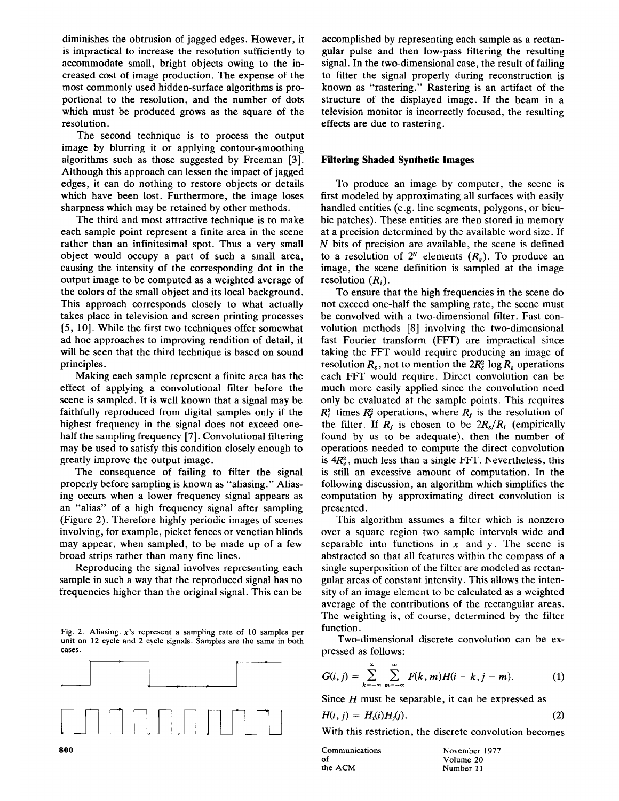diminishes the obtrusion of jagged edges. However, it is impractical to increase the resolution sufficiently to accommodate small, bright objects owing to the increased cost of image production. The expense of the most commonly used hidden-surface algorithms is proportional to the resolution, and the number of dots which must be produced grows as the square of the resolution.

The second technique is to process the output image by blurring it or applying contour-smoothing algorithms such as those suggested by Freeman [3]. Although this approach can lessen the impact of jagged edges, it can do nothing to restore objects or details which have been lost. Furthermore, the image loses sharpness which may be retained by other methods.

The third and most attractive technique is to make each sample point represent a finite area in the scene rather than an infinitesimal spot. Thus a very small object would occupy a part of such a small area, causing the intensity of the corresponding dot in the output image to be computed as a weighted average of the colors of the small object and its local background. This approach corresponds closely to what actually takes place in television and screen printing processes [5, 10]. While the first two techniques offer somewhat ad hoc approaches to improving rendition of detail, it will be seen that the third technique is based on sound principles.

Making each sample represent a finite area has the effect of applying a convolutional filter before the scene is sampled. It is well known that a signal may be faithfully reproduced from digital samples only if the highest frequency in the signal does not exceed onehalf the sampling frequency [7]. Convolutional filtering may be used to satisfy this condition closely enough to greatly improve the output image.

The consequence of failing to filter the signal properly before sampling is known as "aliasing." Aliasing occurs when a lower frequency signal appears as an "alias" of a high frequency signal after sampling (Figure 2). Therefore highly periodic images of scenes involving, for example, picket fences or venetian blinds may appear, when sampled, to be made up of a few broad strips rather than many fine lines.

Reproducing the signal involves representing each sample in such a way that the reproduced signal has no frequencies higher than the original signal. This can be

Fig. 2. Aliasing. x's represent a sampling rate of 10 samples per unit on 12 cycle and 2 cycle signals. Samples are the same in both cases.



accomplished by representing each sample as a rectangular pulse and then low-pass filtering the resulting signal. In the two-dimensional case, the result of failing to filter the signal properly during reconstruction is known as "rastering." Rastering is an artifact of the structure of the displayed image. If the beam in a television monitor is incorrectly focused, the resulting effects are due to rastering.

## **Filtering Shaded Synthetic Images**

To produce an image by computer, the scene is first modeled by approximating all surfaces with easily handled entities (e.g. line segments, polygons, or bicubic patches). These entities are then stored in memory at a precision determined by the available word size. If  $N$  bits of precision are available, the scene is defined to a resolution of  $2^N$  elements  $(R_s)$ . To produce an image, the scene definition is sampled at the image resolution  $(R_i)$ .

To ensure that the high frequencies in the scene do not exceed one-half the sampling rate, the scene must be convolved with a two-dimensional filter. Fast convolution methods [8] involving the two-dimensional fast Fourier transform (FFT) are impractical since taking the FFT would require producing an image of resolution  $R_s$ , not to mention the  $2R_s^2 \log R_s$  operations each FFF would require. Direct convolution can be much more easily applied since the convolution need only be evaluated at the sample points. This requires  $R_{i}^{2}$  times  $R_{i}^{2}$  operations, where  $R_{f}$  is the resolution of the filter. If  $R_f$  is chosen to be  $2R_s/R_i$  (empirically found by us to be adequate), then the number of operations needed to compute the direct convolution is  $4R_s^2$ , much less than a single FFT. Nevertheless, this is still an excessive amount of computation. In the following discussion, an algorithm which simplifies the computation by approximating direct convolution is presented.

This algorithm assumes a filter which is nonzero over a square region two sample intervals wide and separable into functions in  $x$  and  $y$ . The scene is abstracted so that all features within the compass of a single superposition of the filter are modeled as rectangular areas of constant intensity. This allows the intensity of an image element to be calculated as a weighted average of the contributions of the rectangular areas. The weighting is, of course, determined by the filter function.

Two-dimensional discrete convolution can be expressed as follows:

$$
G(i,j)=\sum_{k=-\infty}^{\infty}\sum_{m=-\infty}^{\infty}F(k,m)H(i-k,j-m). \hspace{1cm} (1)
$$

Since  $H$  must be separable, it can be expressed as

$$
H(i, j) = H_i(i)H_j(j). \tag{2}
$$

With this restriction, the discrete convolution becomes

| Communications | November 1977 |
|----------------|---------------|
| оf             | Volume 20     |
| the ACM        | Number 11     |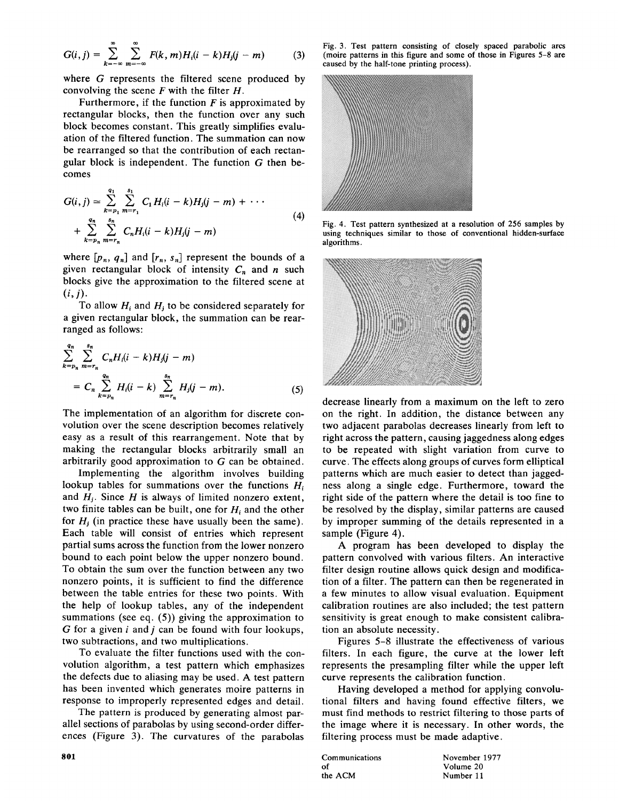$$
G(i,j) = \sum_{k=-\infty}^{\infty} \sum_{m=-\infty}^{\infty} F(k,m)H_i(i-k)H_j(j-m)
$$
 (3)

where  $G$  represents the filtered scene produced by convolving the scene  $F$  with the filter  $H$ .

Furthermore, if the function  $F$  is approximated by rectangular blocks, then the function over any such block becomes constant. This greatly simplifies evaluation of the filtered function. The summation can now be rearranged so that the contribution of each rectangular block is independent. The function  $G$  then becomes

$$
G(i, j) \approx \sum_{k=p_1}^{q_1} \sum_{m=r_1}^{s_1} C_1 H_i(i-k) H_j(j-m) + \cdots
$$
  
+ 
$$
\sum_{k=p_n}^{q_n} \sum_{m=r_n}^{s_n} C_n H_i(i-k) H_j(j-m)
$$
 (4)

where  $[p_n, q_n]$  and  $[r_n, s_n]$  represent the bounds of a given rectangular block of intensity  $C_n$  and n such blocks give the approximation to the filtered scene at  $\mathcal{D}$  to be considered separately for  $\mathcal{D}$  to be considered separately for  $\mathcal{D}$ 

To allow  $H_i$  and  $H_j$  to be considered separately for a given rectangular block, the summation can be rearranged as follows: *qn 8n* 

$$
\sum_{k=p_n}^{q_n} \sum_{m=r_n}^{s_n} C_n H_i (i-k) H_j (j-m)
$$
  
=  $C_n \sum_{k=p_n}^{q_n} H_i (i-k) \sum_{m=r_n}^{s_n} H_j (j-m).$  (5)

The implementation of an algorithm for discrete convolution over the scene description becomes relatively easy as a result of this rearrangement. Note that by making the rectangular blocks arbitrarily small an arbitrarily good approximation to  $G$  can be obtained.

Implementing the algorithm involves building lookup tables for summations over the functions  $H_i$ . and  $H_i$ . Since H is always of limited nonzero extent, two finite tables can be built, one for  $H_i$  and the other for  $H_i$  (in practice these have usually been the same). Each table will consist of entries which represent partial sums across the function from the lower nonzero bound to each point below the upper nonzero bound. To obtain the sum over the function between any two nonzero points, it is sufficient to find the difference between the table entries for these two points. With the help of lookup tables, any of the independent summations (see eq.  $(5)$ ) giving the approximation to G for a given  $i$  and  $j$  can be found with four lookups, two subtractions, and two multiplications.

To evaluate the filter functions used with the convolution algorithm, a test pattern which emphasizes the defects due to aliasing may be used. A test pattern has been invented which generates moire patterns in response to improperly represented edges and detail.

The pattern is produced by generating almost parallel sections of parabolas by using second-order differences (Figure 3). The curvatures of the parabolas

Fig. 3. Test pattern consisting of closely spaced parabolic arcs (moire patterns in this figure and some of those in Figures 5-8 are caused by the half-tone printing process).



Fig. 4. Test pattern synthesized at a resolution of 256 samples by using techniques similar to those of conventional hidden-surface algorithms.



decrease linearly from a maximum on the left to zero. on the right. In addition, the distance between any two adjacent parabolas decreases linearly from left to right across the pattern, causing jaggedness along edges to be repeated with slight variation from curve to curve. The effects along groups of curves form elliptical patterns which are much easier to detect than jaggedness along a single edge. Furthermore, toward the right side of the pattern where the detail is too fine to be resolved by the display, similar patterns are caused by improper summing of the details represented in a sample (Figure 4).

A program has been developed to display the pattern convolved with various filters. An interactive filter design routine allows quick design and modification of a filter. The pattern can then be regenerated in a few minutes to allow visual evaluation. Equipment calibration routines are also included; the test pattern sensitivity is great enough to make consistent calibration an absolute necessity.

Figures 5-8 illustrate the effectiveness of various filters. In each figure, the curve at the lower left represents the presampling filter while the upper left curve represents the calibration function.

Having developed a method for applying convolutional filters and having found effective filters, we must find methods to restrict filtering to those parts of the image where it is necessary. In other words, the filtering process must be made adaptive.

Communications November 1977 of Volume 20 the ACM

Number 11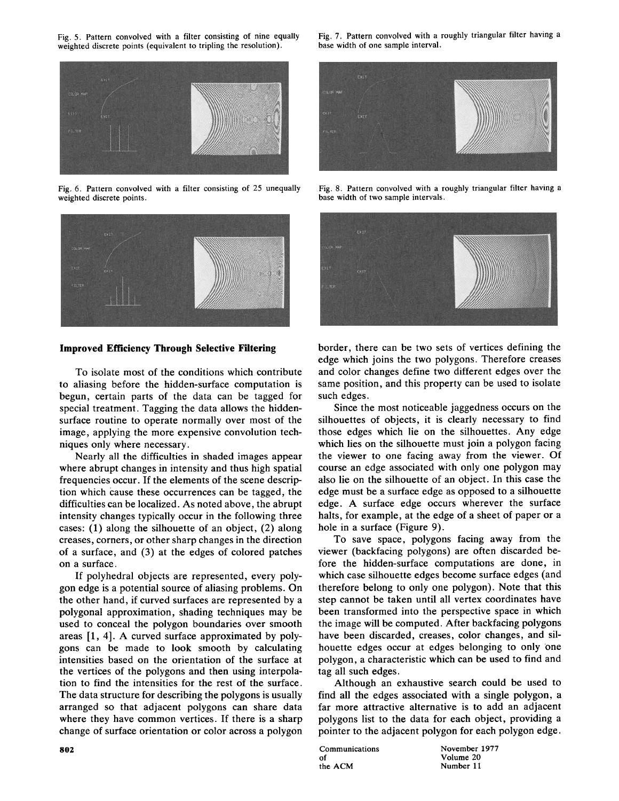weighted discrete points (equivalent to tripling the resolution).



Fig. 6. Pattern convolved with a filter consisting of 25 unequally weighted discrete points.



## **Improved Efficiency Through Selective Filtering**

To isolate most of the conditions which contribute to aliasing before the hidden-surface computation is begun, certain parts of the data can be tagged for special treatment. Tagging the data allows the hiddensurface routine to operate normally over most of the image, applying the more expensive convolution techniques only where necessary.

Nearly all the difficulties in shaded images appear where abrupt changes in intensity and thus high spatial frequencies occur. If the elements of the scene description which Cause these occurrences can be tagged, the difficulties can be localized. As noted above, the abrupt intensity changes typically occur in the following three cases: (1) along the silhouette of an object, (2) along creases, corners, or other sharp changes in the direction of a surface, and (3) at the edges of colored patches on a surface.

If polyhedral objects are represented, every polygon edge is a potential source of aliasing problems. On the other hand, if curved surfaces are represented by a polygonal approximation, shading techniques may be used to conceal the polygon boundaries over smooth areas [1, 4]. A curved surface approximated by polygons can be made to look smooth by calculating intensities based on the orientation of the surface at the vertices of the polygons and then using interpolation to find the intensities for the rest of the surface. The data structure for describing the polygons is usually arranged so that adjacent polygons can share data where they have common vertices. If there is a sharp change of surface orientation or color across a polygon



Fig. 8. Pattern convolved with a roughly triangular filter having a base width of two sample intervals.



border, there can be two sets of vertices defining the edge which joins the two polygons. Therefore creases and color changes define two different edges over the same position, and this property can be used to isolate such edges.

Since the most noticeable jaggedness occurs on the silhouettes of objects, it is clearly necessary to find those edges which lie on the silhouettes. Any edge which lies on the silhouette must join a polygon facing the viewer to one facing away from the viewer. Of course an edge associated with only one polygon may also lie on the silhouette of an object. In this case the edge must be a surface edge as opposed to a silhouette edge. A surface edge occurs wherever the surface halts, for example, at the edge of a sheet of paper or a hole in a surface (Figure 9).

To save space, polygons facing away from the viewer (backfacing polygons) are often discarded before the hidden-surface computations are done, in which case silhouette edges become surface edges (and therefore belong to only one polygon). Note that this step cannot be taken until all vertex coordinates have been transformed into the perspective space in which the image will be computed. After backfacing polygons have been discarded, creases, color changes, and silhouette edges occur at edges belonging to only one polygon, a characteristic which can be used to find and tag all such edges.

Although an exhaustive search could be used to find all the edges associated with a single polygon, a far more attractive alternative is to add an adjacent polygons list to the data for each object, providing a pointer to the adjacent polygon for each polygon edge.

Communications November 1977 of Volume 20<br>the ACM Number 11

Number 11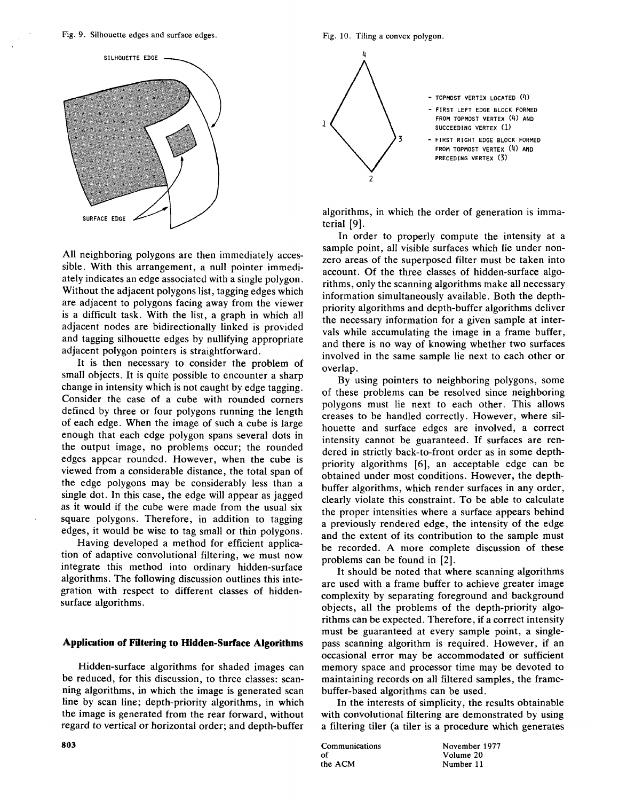Fig. 9. Silhouette edges and surface edges. Fig. 10. Tiling a convex polygon.



All neighboring polygons are then immediately accessible. With this arrangement, a null pointer immediately indicates an edge associated with a single polygon. Without the adjacent polygons list, tagging edges which are adjacent to polygons facing away from the viewer is a difficult task. With the list, a graph in which all adjacent nodes are bidirectionally linked is provided and tagging silhouette edges by nullifying appropriate adjacent polygon pointers is straightforward.

It is then necessary to consider the problem of small objects. It is quite possible to encounter a sharp change in intensity which is not caught by edge tagging. Consider the case of a cube with rounded corners defined by three or four polygons running the length of each edge. When the image of such a cube is large enough that each edge polygon spans several dots in the output image, no problems occur; the rounded edges appear rounded. However, when the cube is viewed from a considerable distance, the total span of the edge polygons may be considerably less than a single dot. In this case, the edge will appear as jagged as it would if the cube were made from the usual six square polygons. Therefore, in addition to tagging edges, it would be wise to tag small or thin polygons.

Having developed a method for efficient application of adaptive convolutional filtering, we must now integrate this method into ordinary hidden-surface algorithms. The following discussion outlines this integration with respect to different classes of hiddensurface algorithms.

## **Application of Filtering to Hidden-Surface Algorithms**

Hidden-surface algorithms for shaded images can be reduced, for this discussion, to three classes: scanning algorithms, in which the image is generated scan line by scan line; depth-priority algorithms, in which the image is generated from the rear forward, without regard to vertical or horizontal order; and depth-buffer



In order to properly compute the intensity at a sample point, all visible surfaces which lie under nonzero areas of the superposed filter must be taken into account. Of the three classes of hidden-surface algorithms, only the scanning algorithms make all necessary information simultaneously available. Both the depthpriority algorithms and depth-buffer algorithms deliver the necessary information for a given sample at intervals while accumulating the image in a frame buffer, and there is no way of knowing whether two surfaces involved in the same sample lie next to each other or overlap.

By using pointers to neighboring polygons, some of these problems can be resolved since neighboring polygons must lie next to each other. This allows creases to be handled correctly. However, where silhouette and surface edges are involved, a correct intensity cannot be guaranteed. If surfaces are rendered in strictly back-to-front order as in some depthpriority algorithms [6], an acceptable edge can be obtained under most conditions. However, the depthbuffer algorithms, which render surfaces in any order, clearly violate this constraint. To be able to calculate the proper intensities where a surface appears behind a previously rendered edge, the intensity of the edge and the extent of its contribution to the sample must be recorded. A more complete discussion of these problems can be found in [2].

It should be noted that where scanning algorithms are used with a frame buffer to achieve greater image complexity by separating foreground and background objects, all the problems of the depth-priority algorithms can be expected. Therefore, if a correct intensity must be guaranteed at every sample point, a singlepass scanning algorithm is required. However, if an occasional error may be accommodated or sufficient memory space and processor time may be devoted to maintaining records on all filtered samples, the framebuffer-based algorithms can be used.

In the interests of simplicity, the results obtainable with convolutional filtering are demonstrated by using a filtering tiler (a tiler is a procedure which generates

Communications November 1977 of of Volume 20<br>the ACM Number 11

Number 11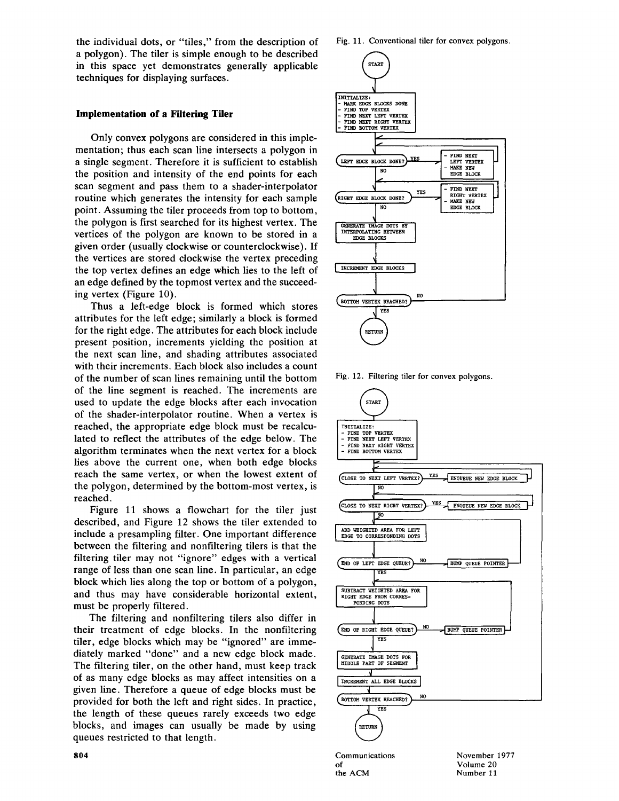the individual dots, or "tiles," from the description of a polygon). The tiler is simple enough to be described in this space yet demonstrates generally applicable techniques for displaying surfaces.

## **Implementation of a Filtering Tiler**

Only convex polygons are considered in this implementation; thus each scan line intersects a polygon in a single segment. Therefore it is sufficient to establish the position and intensity of the end points for each scan segment and pass them to a shader-interpolator routine which generates the intensity for each sample point. Assuming the tiler proceeds from top to bottom, the polygon is first searched for its highest vertex. The vertices of the polygon are known to be stored in a given order (usually clockwise or counterclockwise). If the vertices are stored clockwise the vertex preceding the top vertex defines an edge which lies to the left of an edge defined by the topmost vertex and the succeeding vertex (Figure 10).

Thus a left-edge block is formed which stores attributes for the left edge; similarly a block is formed for the right edge. The attributes for each block include present position, increments yielding the position at the next scan line, and shading attributes associated with their increments. Each block also includes a count of the number of scan lines remaining until the bottom of the line segment is reached. The increments are used to update the edge blocks after each invocation of the shader-interpolator routine. When a vertex is reached, the appropriate edge block must be recalculated to reflect the attributes of the edge below. The algorithm terminates when the next vertex for a block lies above the current one, when both edge blocks reach the same vertex, or when the lowest extent of the polygon, determined by the bottom-most vertex, is  $rac{p}{q}$ Figure 11 shows a flowchart for the tiler just

described, and Figure 12 shows the tiler extended to include a presampling filter. One important difference between the filtering and nonfiltering tilers is that the filtering tiler may not "ignore" edges with a vertical range of less than one scan line. In particular, an edge block which lies along the top or bottom of a polygon, and thus may have considerable horizontal extent, must be properly filtered.

The filtering and nonfiltering tilers also differ in their treatment of edge blocks. In the nonfiltering tiler, edge blocks which may be "ignored" are immediately marked "done" and a new edge block made. diately marked "done" and a new edge block made.<br>The filtering tiler, on the other hand, must keep track of as many edge blocks as may affect intensities on a given line. Therefore a guesse of edge blocks must be provided for both the left and right sides. In practice, provided for both the left and right sides. In practice, blocks, and images can usually be made by using blocks, and images can usually be made by using queues restricted to that length.



Fig. 12. Filtering tiler for convex polygons.